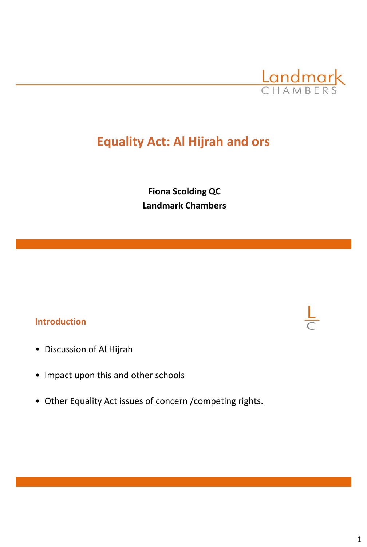

# **Equality Act: Al Hijrah and ors**

**Fiona Scolding QC Landmark Chambers** 

### **Introduction**

- Discussion of Al Hijrah
- Impact upon this and other schools
- Other Equality Act issues of concern /competing rights.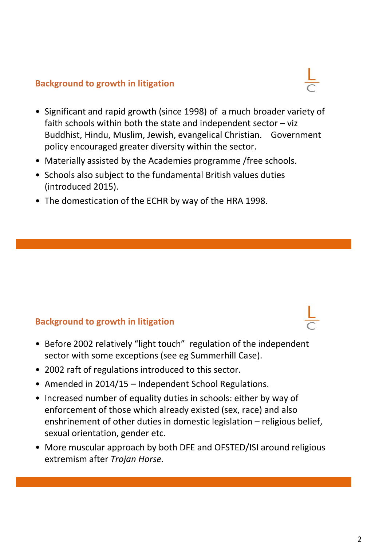#### **Background to growth in litigation**

- Significant and rapid growth (since 1998) of a much broader variety of faith schools within both the state and independent sector  $-$  viz Buddhist, Hindu, Muslim, Jewish, evangelical Christian. Government policy encouraged greater diversity within the sector.
- Materially assisted by the Academies programme /free schools.
- Schools also subject to the fundamental British values duties (introduced 2015).
- The domestication of the ECHR by way of the HRA 1998.

### **Background to growth in litigation**

- Before 2002 relatively "light touch" regulation of the independent sector with some exceptions (see eg Summerhill Case).
- 2002 raft of regulations introduced to this sector.
- Amended in 2014/15 Independent School Regulations.
- Increased number of equality duties in schools: either by way of enforcement of those which already existed (sex, race) and also enshrinement of other duties in domestic legislation – religious belief, sexual orientation, gender etc.
- More muscular approach by both DFE and OFSTED/ISI around religious extremism after *Trojan Horse.*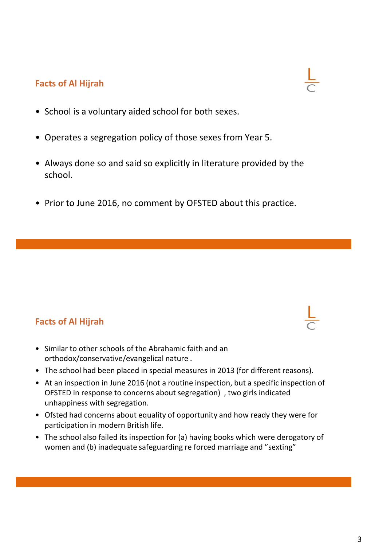# **Facts of Al Hijrah**

- School is a voluntary aided school for both sexes.
- Operates a segregation policy of those sexes from Year 5.
- Always done so and said so explicitly in literature provided by the school.
- Prior to June 2016, no comment by OFSTED about this practice.

# **Facts of Al Hijrah**

- Similar to other schools of the Abrahamic faith and an orthodox/conservative/evangelical nature .
- The school had been placed in special measures in 2013 (for different reasons).
- At an inspection in June 2016 (not a routine inspection, but a specific inspection of OFSTED in response to concerns about segregation) , two girls indicated unhappiness with segregation.
- Ofsted had concerns about equality of opportunity and how ready they were for participation in modern British life.
- The school also failed its inspection for (a) having books which were derogatory of women and (b) inadequate safeguarding re forced marriage and "sexting"



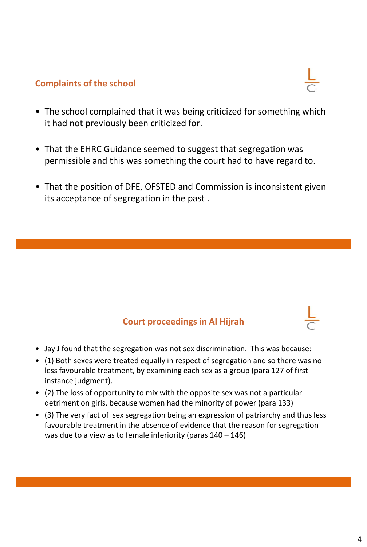### **Complaints of the school**

- The school complained that it was being criticized for something which it had not previously been criticized for.
- That the EHRC Guidance seemed to suggest that segregation was permissible and this was something the court had to have regard to.
- That the position of DFE, OFSTED and Commission is inconsistent given its acceptance of segregation in the past .

### **Court proceedings in Al Hijrah**

- Jay J found that the segregation was not sex discrimination. This was because:
- (1) Both sexes were treated equally in respect of segregation and so there was no less favourable treatment, by examining each sex as a group (para 127 of first instance judgment).
- (2) The loss of opportunity to mix with the opposite sex was not a particular detriment on girls, because women had the minority of power (para 133)
- (3) The very fact of sex segregation being an expression of patriarchy and thus less favourable treatment in the absence of evidence that the reason for segregation was due to a view as to female inferiority (paras 140 – 146)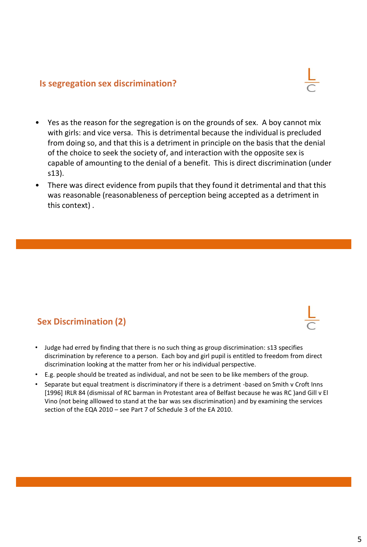#### **Is segregation sex discrimination?**

- Yes as the reason for the segregation is on the grounds of sex. A boy cannot mix with girls: and vice versa. This is detrimental because the individual is precluded from doing so, and that this is a detriment in principle on the basis that the denial of the choice to seek the society of, and interaction with the opposite sex is capable of amounting to the denial of a benefit. This is direct discrimination (under s13).
- There was direct evidence from pupils that they found it detrimental and that this was reasonable (reasonableness of perception being accepted as a detriment in this context) .

### **Sex Discrimination (2)**

- Judge had erred by finding that there is no such thing as group discrimination: s13 specifies discrimination by reference to a person. Each boy and girl pupil is entitled to freedom from direct discrimination looking at the matter from her or his individual perspective.
- E.g. people should be treated as individual, and not be seen to be like members of the group.
- Separate but equal treatment is discriminatory if there is a detriment -based on Smith v Croft Inns [1996] IRLR 84 (dismissal of RC barman in Protestant area of Belfast because he was RC )and Gill v El Vino (not being alllowed to stand at the bar was sex discrimination) and by examining the services section of the EQA 2010 – see Part 7 of Schedule 3 of the EA 2010.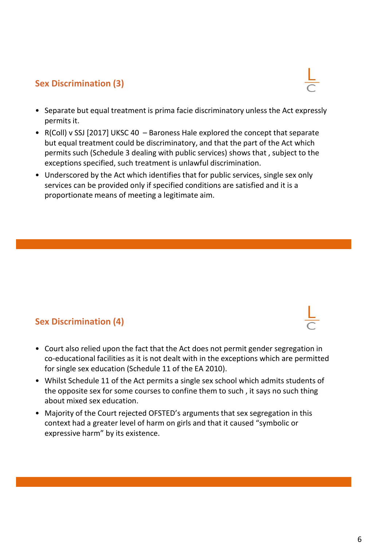### **Sex Discrimination (3)**

- Separate but equal treatment is prima facie discriminatory unless the Act expressly permits it.
- R(Coll) v SSJ [2017] UKSC 40 Baroness Hale explored the concept that separate but equal treatment could be discriminatory, and that the part of the Act which permits such (Schedule 3 dealing with public services) shows that , subject to the exceptions specified, such treatment is unlawful discrimination.
- Underscored by the Act which identifies that for public services, single sex only services can be provided only if specified conditions are satisfied and it is a proportionate means of meeting a legitimate aim.

### **Sex Discrimination (4)**

- Court also relied upon the fact that the Act does not permit gender segregation in co-educational facilities as it is not dealt with in the exceptions which are permitted for single sex education (Schedule 11 of the EA 2010).
- Whilst Schedule 11 of the Act permits a single sex school which admits students of the opposite sex for some courses to confine them to such , it says no such thing about mixed sex education.
- Majority of the Court rejected OFSTED's arguments that sex segregation in this context had a greater level of harm on girls and that it caused "symbolic or expressive harm" by its existence.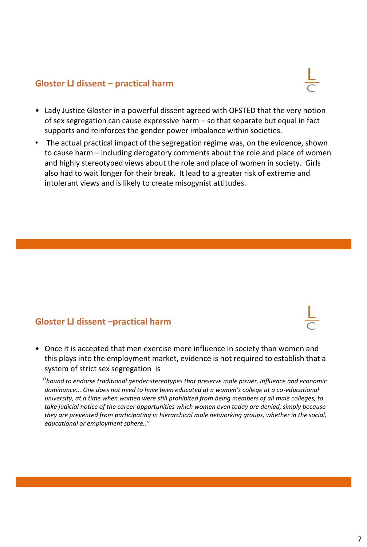#### **Gloster LJ dissent – practical harm**



- Lady Justice Gloster in a powerful dissent agreed with OFSTED that the very notion of sex segregation can cause expressive harm – so that separate but equal in fact supports and reinforces the gender power imbalance within societies.
- The actual practical impact of the segregation regime was, on the evidence, shown to cause harm – including derogatory comments about the role and place of women and highly stereotyped views about the role and place of women in society. Girls also had to wait longer for their break. It lead to a greater risk of extreme and intolerant views and is likely to create misogynist attitudes.

### **Gloster LJ dissent –practical harm**

• Once it is accepted that men exercise more influence in society than women and this plays into the employment market, evidence is not required to establish that a system of strict sex segregation is

"*bound to endorse traditional gender stereotypes that preserve male power, influence and economic dominance....One does not need to have been educated at a women's college at a co-educational university, at a time when women were still prohibited from being members of all male colleges, to take judicial notice of the career opportunities which women even today are denied, simply because they are prevented from participating in hierarchical male networking groups, whether in the social, educational or employment sphere.."*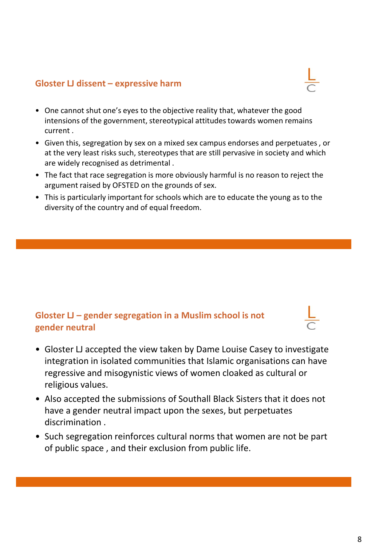#### **Gloster LJ dissent – expressive harm**

- 
- One cannot shut one's eyes to the objective reality that, whatever the good intensions of the government, stereotypical attitudes towards women remains current .
- Given this, segregation by sex on a mixed sex campus endorses and perpetuates , or at the very least risks such, stereotypes that are still pervasive in society and which are widely recognised as detrimental .
- The fact that race segregation is more obviously harmful is no reason to reject the argument raised by OFSTED on the grounds of sex.
- This is particularly important for schools which are to educate the young as to the diversity of the country and of equal freedom.

### **Gloster LJ – gender segregation in a Muslim school is not gender neutral**

- Gloster LJ accepted the view taken by Dame Louise Casey to investigate integration in isolated communities that Islamic organisations can have regressive and misogynistic views of women cloaked as cultural or religious values.
- Also accepted the submissions of Southall Black Sisters that it does not have a gender neutral impact upon the sexes, but perpetuates discrimination .
- Such segregation reinforces cultural norms that women are not be part of public space , and their exclusion from public life.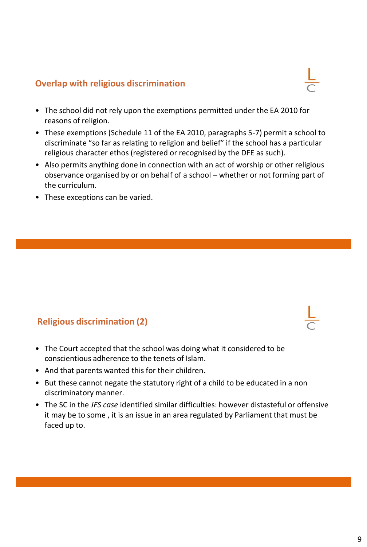#### **Overlap with religious discrimination**

- The school did not rely upon the exemptions permitted under the EA 2010 for reasons of religion.
- These exemptions (Schedule 11 of the EA 2010, paragraphs 5-7) permit a school to discriminate "so far as relating to religion and belief" if the school has a particular religious character ethos (registered or recognised by the DFE as such).
- Also permits anything done in connection with an act of worship or other religious observance organised by or on behalf of a school – whether or not forming part of the curriculum.
- These exceptions can be varied.

### **Religious discrimination (2)**

- The Court accepted that the school was doing what it considered to be conscientious adherence to the tenets of Islam.
- And that parents wanted this for their children.
- But these cannot negate the statutory right of a child to be educated in a non discriminatory manner.
- The SC in the *JFS case* identified similar difficulties: however distasteful or offensive it may be to some , it is an issue in an area regulated by Parliament that must be faced up to.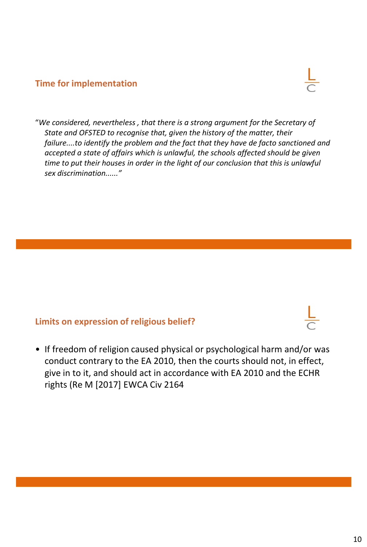#### **Time for implementation**



"*We considered, nevertheless , that there is a strong argument for the Secretary of State and OFSTED to recognise that, given the history of the matter, their failure....to identify the problem and the fact that they have de facto sanctioned and accepted a state of affairs which is unlawful, the schools affected should be given time to put their houses in order in the light of our conclusion that this is unlawful sex discrimination......"*

### **Limits on expression of religious belief?**

• If freedom of religion caused physical or psychological harm and/or was conduct contrary to the EA 2010, then the courts should not, in effect, give in to it, and should act in accordance with EA 2010 and the ECHR rights (Re M [2017] EWCA Civ 2164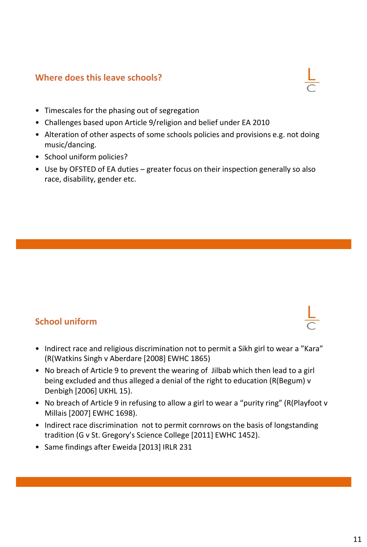#### **Where does this leave schools?**



- Timescales for the phasing out of segregation
- Challenges based upon Article 9/religion and belief under EA 2010
- Alteration of other aspects of some schools policies and provisions e.g. not doing music/dancing.
- School uniform policies?
- Use by OFSTED of EA duties greater focus on their inspection generally so also race, disability, gender etc.

### **School uniform**

- Indirect race and religious discrimination not to permit a Sikh girl to wear a "Kara" (R(Watkins Singh v Aberdare [2008] EWHC 1865)
- No breach of Article 9 to prevent the wearing of Jilbab which then lead to a girl being excluded and thus alleged a denial of the right to education (R(Begum) v Denbigh [2006] UKHL 15).
- No breach of Article 9 in refusing to allow a girl to wear a "purity ring" (R(Playfoot v Millais [2007] EWHC 1698).
- Indirect race discrimination not to permit cornrows on the basis of longstanding tradition (G v St. Gregory's Science College [2011] EWHC 1452).
- Same findings after Eweida [2013] IRLR 231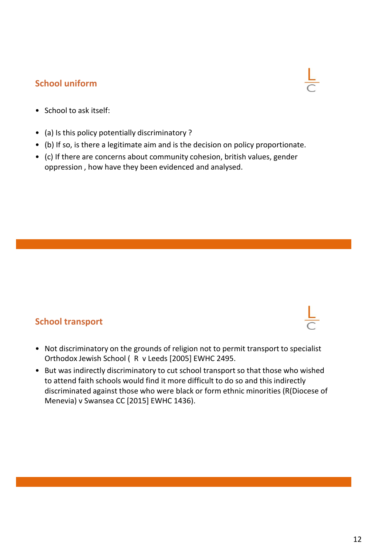### **School uniform**



- School to ask itself:
- (a) Is this policy potentially discriminatory ?
- (b) If so, is there a legitimate aim and is the decision on policy proportionate.
- (c) If there are concerns about community cohesion, british values, gender oppression , how have they been evidenced and analysed.

### **School transport**

- Not discriminatory on the grounds of religion not to permit transport to specialist Orthodox Jewish School ( R v Leeds [2005] EWHC 2495.
- But was indirectly discriminatory to cut school transport so that those who wished to attend faith schools would find it more difficult to do so and this indirectly discriminated against those who were black or form ethnic minorities (R(Diocese of Menevia) v Swansea CC [2015] EWHC 1436).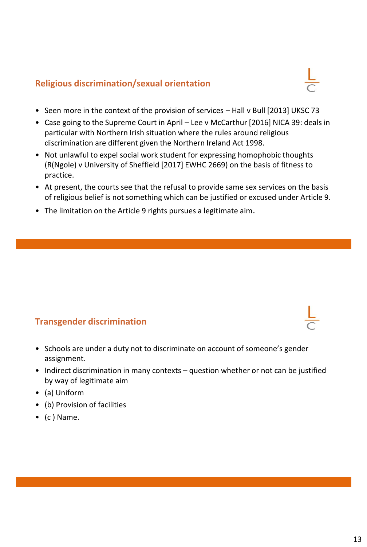## **Religious discrimination/sexual orientation**

- Seen more in the context of the provision of services Hall v Bull [2013] UKSC 73
- Case going to the Supreme Court in April Lee v McCarthur [2016] NICA 39: deals in particular with Northern Irish situation where the rules around religious discrimination are different given the Northern Ireland Act 1998.
- Not unlawful to expel social work student for expressing homophobic thoughts (R(Ngole) v University of Sheffield [2017] EWHC 2669) on the basis of fitness to practice.
- At present, the courts see that the refusal to provide same sex services on the basis of religious belief is not something which can be justified or excused under Article 9.
- The limitation on the Article 9 rights pursues a legitimate aim.

# **Transgender discrimination**

- Schools are under a duty not to discriminate on account of someone's gender assignment.
- Indirect discrimination in many contexts question whether or not can be justified by way of legitimate aim
- (a) Uniform
- (b) Provision of facilities
- (c ) Name.